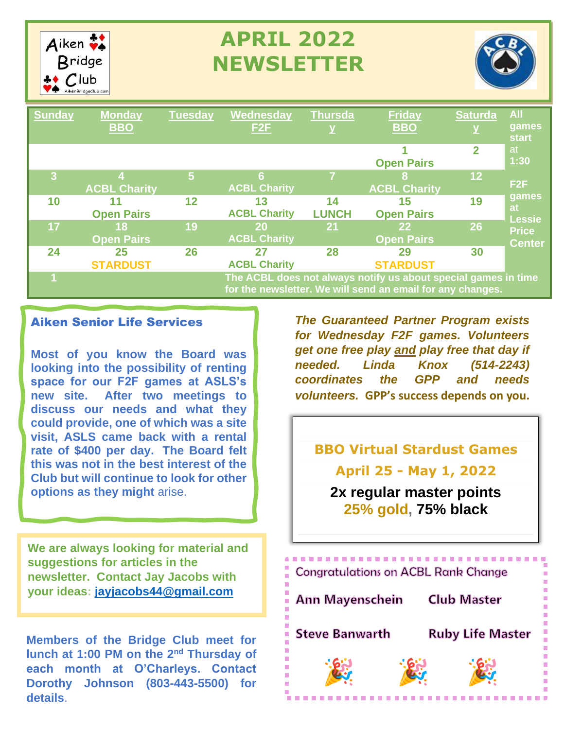

# **APRIL 2022 NEWSLETTER**



| <b>Sunday</b> | <b>Monday</b><br><b>BBO</b>                                                                                                  | <b>Tuesday</b> | Wednesday<br>F <sub>2</sub> F | <b>Thursda</b><br>$\overline{\mathbf{Y}}$ | <b>Friday</b><br><b>BBO</b>          | <b>Saturda</b> | <b>All</b><br>games<br><b>start</b> |
|---------------|------------------------------------------------------------------------------------------------------------------------------|----------------|-------------------------------|-------------------------------------------|--------------------------------------|----------------|-------------------------------------|
|               |                                                                                                                              |                |                               |                                           | <b>Open Pairs</b>                    | $\overline{2}$ | at<br>1:30                          |
| 3             | <b>ACBL Charity</b>                                                                                                          | $\overline{5}$ | 6<br><b>ACBL Charity</b>      |                                           | 8<br><b>ACBL Charity</b>             | 12             | F2F                                 |
| 10            | 11<br><b>Open Pairs</b>                                                                                                      | 12             | 13<br><b>ACBL Charity</b>     | 14<br><b>LUNCH</b>                        | 15<br><b>Open Pairs</b>              | 19             | games<br>at<br><b>Lessie</b>        |
| 17            | 18<br><b>Open Pairs</b>                                                                                                      | 19             | 20<br><b>ACBL Charity</b>     | 21                                        | 22 <sub>2</sub><br><b>Open Pairs</b> | 26             | <b>Price</b><br><b>Center</b>       |
| 24            | 25<br><b>STARDUST</b>                                                                                                        | 26             | 27<br><b>ACBL Charity</b>     | 28                                        | 29<br><b>STARDUST</b>                | 30             |                                     |
|               | The ACBL does not always notify us about special games in time<br>for the newsletter. We will send an email for any changes. |                |                               |                                           |                                      |                |                                     |

#### Aiken Senior Life Services

**Most of you know the Board was looking into the possibility of renting space for our F2F games at ASLS's new site. After two meetings to discuss our needs and what they could provide, one of which was a site visit, ASLS came back with a rental rate of \$400 per day. The Board felt this was not in the best interest of the Club but will continue to look for other options as they might** arise.

**We are always looking for material and suggestions for articles in the newsletter. Contact Jay Jacobs with your ideas: [jayjacobs44@gmail.com](mailto:jayjacobs44@gmail.com)**

**Members of the Bridge Club meet for lunch at 1:00 PM on the 2nd Thursday of each month at O'Charleys. Contact Dorothy Johnson (803-443-5500) for details**.

*The Guaranteed Partner Program exists for Wednesday F2F games. Volunteers get one free play and play free that day if needed. Linda Knox (514-2243) coordinates the GPP and needs volunteers.* **GPP's success depends on you.**

**BBO Virtual Stardust Games April 25 - May 1, 2022**

**2x regular master points 25% gold, 75% black**

------------------------**Congratulations on ACBL Rank Change Ann Mayenschein Club Master Steve Banwarth Ruby Life Master**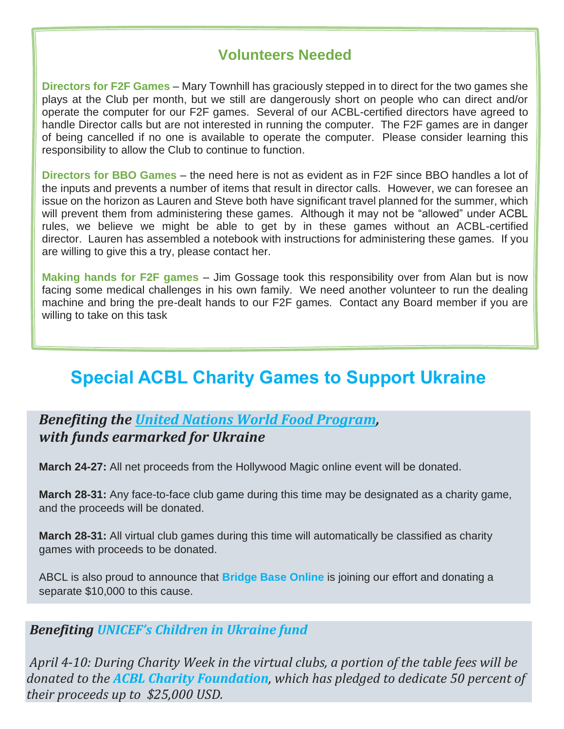# **Volunteers Needed**

**Directors for F2F Games** – Mary Townhill has graciously stepped in to direct for the two games she plays at the Club per month, but we still are dangerously short on people who can direct and/or operate the computer for our F2F games. Several of our ACBL-certified directors have agreed to handle Director calls but are not interested in running the computer. The F2F games are in danger of being cancelled if no one is available to operate the computer. Please consider learning this responsibility to allow the Club to continue to function.

**Directors for BBO Games** – the need here is not as evident as in F2F since BBO handles a lot of the inputs and prevents a number of items that result in director calls. However, we can foresee an issue on the horizon as Lauren and Steve both have significant travel planned for the summer, which will prevent them from administering these games. Although it may not be "allowed" under ACBL rules, we believe we might be able to get by in these games without an ACBL-certified director. Lauren has assembled a notebook with instructions for administering these games. If you are willing to give this a try, please contact her.

**Making hands for F2F games** – Jim Gossage took this responsibility over from Alan but is now facing some medical challenges in his own family. We need another volunteer to run the dealing machine and bring the pre-dealt hands to our F2F games. Contact any Board member if you are willing to take on this task

# **Special ACBL Charity Games to Support Ukraine**

# *Benefiting the United Nations World Food [Program,](https://nam12.safelinks.protection.outlook.com/?url=https%3A%2F%2Facbl.us17.list-manage.com%2Ftrack%2Fclick%3Fu%3D0a09fd687ebd2b74a40bba3c4%26id%3D3eeb3aabd4%26e%3Dacef8bba90&data=04%7C01%7C%7Ceaa26df7621f40105ad108da0d04f4c7%7C84df9e7fe9f640afb435aaaaaaaaaaaa%7C1%7C0%7C637836612183402850%7CUnknown%7CTWFpbGZsb3d8eyJWIjoiMC4wLjAwMDAiLCJQIjoiV2luMzIiLCJBTiI6Ik1haWwiLCJXVCI6Mn0%3D%7C3000&sdata=PKWllLeX7P1G22WHJE3fgqUMY3Pjn%2FGtkcbAcQL6gwM%3D&reserved=0) with funds earmarked for Ukraine*

**March 24-27:** All net proceeds from the Hollywood Magic online event will be donated.

**March 28-31:** Any face-to-face club game during this time may be designated as a charity game, and the proceeds will be donated.

**March 28-31:** All virtual club games during this time will automatically be classified as charity games with proceeds to be donated.

ABCL is also proud to announce that **Bridge Base Online** is joining our effort and donating a separate \$10,000 to this cause.

#### *Benefiting [UNICEF's](https://nam12.safelinks.protection.outlook.com/?url=https%3A%2F%2Facbl.us17.list-manage.com%2Ftrack%2Fclick%3Fu%3D0a09fd687ebd2b74a40bba3c4%26id%3D54ab259a9c%26e%3Dacef8bba90&data=04%7C01%7C%7Ceaa26df7621f40105ad108da0d04f4c7%7C84df9e7fe9f640afb435aaaaaaaaaaaa%7C1%7C0%7C637836612183402850%7CUnknown%7CTWFpbGZsb3d8eyJWIjoiMC4wLjAwMDAiLCJQIjoiV2luMzIiLCJBTiI6Ik1haWwiLCJXVCI6Mn0%3D%7C3000&sdata=caY9%2Bg3lIrkJVCYTyDKGbN0kRhCgqdI7xSqCVUI8vU0%3D&reserved=0) Children in Ukraine fund*

*April 4-10: During Charity Week in the virtual clubs, a portion of the table fees will be donated to the ACBL Charity [Foundation](https://nam12.safelinks.protection.outlook.com/?url=https%3A%2F%2Facbl.us17.list-manage.com%2Ftrack%2Fclick%3Fu%3D0a09fd687ebd2b74a40bba3c4%26id%3D1d8b9c38cc%26e%3Dacef8bba90&data=04%7C01%7C%7Ceaa26df7621f40105ad108da0d04f4c7%7C84df9e7fe9f640afb435aaaaaaaaaaaa%7C1%7C0%7C637836612183402850%7CUnknown%7CTWFpbGZsb3d8eyJWIjoiMC4wLjAwMDAiLCJQIjoiV2luMzIiLCJBTiI6Ik1haWwiLCJXVCI6Mn0%3D%7C3000&sdata=pkGsgWHrQ02lt4V%2BJu6AXFL%2FUnphe6V5CeVszwlGmLU%3D&reserved=0), which has pledged to dedicate 50 percent of their proceeds up to \$25,000 USD.*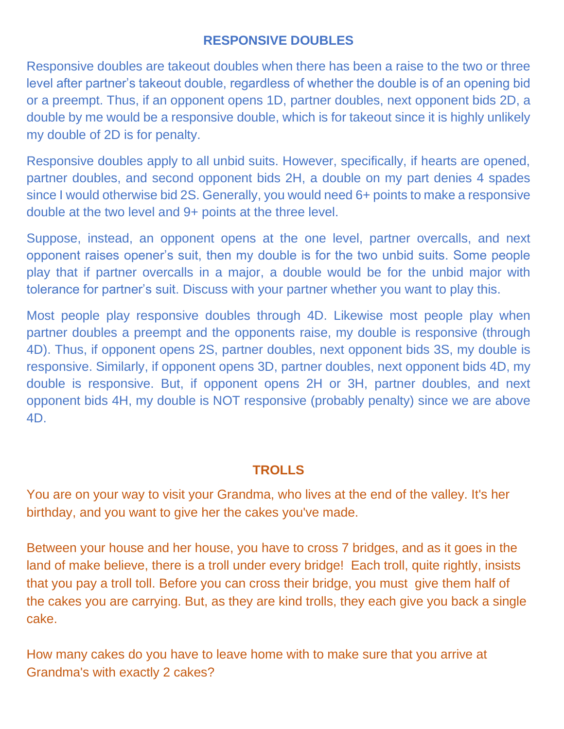# **RESPONSIVE DOUBLES**

Responsive doubles are takeout doubles when there has been a raise to the two or three level after partner's takeout double, regardless of whether the double is of an opening bid or a preempt. Thus, if an opponent opens 1D, partner doubles, next opponent bids 2D, a double by me would be a responsive double, which is for takeout since it is highly unlikely my double of 2D is for penalty.

Responsive doubles apply to all unbid suits. However, specifically, if hearts are opened, partner doubles, and second opponent bids 2H, a double on my part denies 4 spades since I would otherwise bid 2S. Generally, you would need 6+ points to make a responsive double at the two level and 9+ points at the three level.

Suppose, instead, an opponent opens at the one level, partner overcalls, and next opponent raises opener's suit, then my double is for the two unbid suits. Some people play that if partner overcalls in a major, a double would be for the unbid major with tolerance for partner's suit. Discuss with your partner whether you want to play this.

Most people play responsive doubles through 4D. Likewise most people play when partner doubles a preempt and the opponents raise, my double is responsive (through 4D). Thus, if opponent opens 2S, partner doubles, next opponent bids 3S, my double is responsive. Similarly, if opponent opens 3D, partner doubles, next opponent bids 4D, my double is responsive. But, if opponent opens 2H or 3H, partner doubles, and next opponent bids 4H, my double is NOT responsive (probably penalty) since we are above 4D.

#### **TROLLS**

You are on your way to visit your Grandma, who lives at the end of the valley. It's her birthday, and you want to give her the cakes you've made.

Between your house and her house, you have to cross 7 bridges, and as it goes in the land of make believe, there is a troll under every bridge! Each troll, quite rightly, insists that you pay a troll toll. Before you can cross their bridge, you must give them half of the cakes you are carrying. But, as they are kind trolls, they each give you back a single cake.

How many cakes do you have to leave home with to make sure that you arrive at Grandma's with exactly 2 cakes?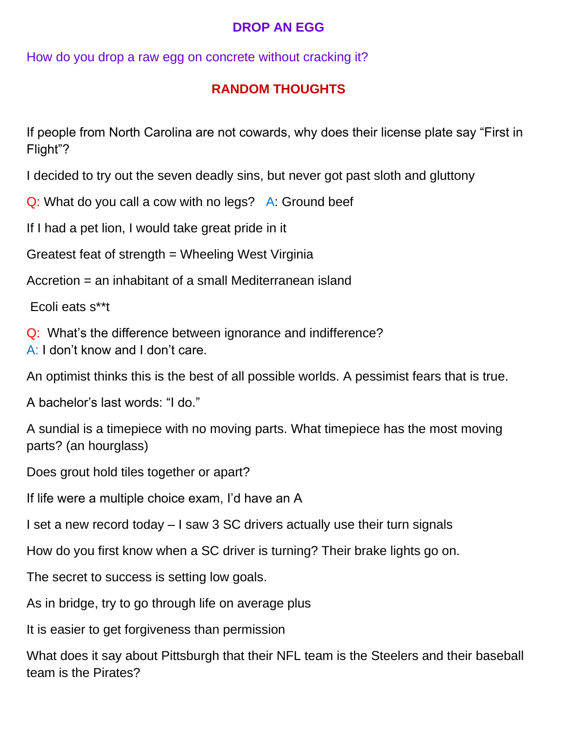# **DROP AN EGG**

How do you drop a raw egg on concrete without cracking it?

# **RANDOM THOUGHTS**

If people from North Carolina are not cowards, why does their license plate say "First in Flight"?

I decided to try out the seven deadly sins, but never got past sloth and gluttony

Q: What do you call a cow with no legs? A: Ground beef

If I had a pet lion, I would take great pride in it

Greatest feat of strength = Wheeling West Virginia

Accretion = an inhabitant of a small Mediterranean island

Ecoli eats s\*\*t

Q: What's the difference between ignorance and indifference?

A: I don't know and I don't care.

An optimist thinks this is the best of all possible worlds. A pessimist fears that is true.

A bachelor's last words: "I do."

A sundial is a timepiece with no moving parts. What timepiece has the most moving parts? (an hourglass)

Does grout hold tiles together or apart?

If life were a multiple choice exam, I'd have an A

I set a new record today – I saw 3 SC drivers actually use their turn signals

How do you first know when a SC driver is turning? Their brake lights go on.

The secret to success is setting low goals.

As in bridge, try to go through life on average plus

It is easier to get forgiveness than permission

What does it say about Pittsburgh that their NFL team is the Steelers and their baseball team is the Pirates?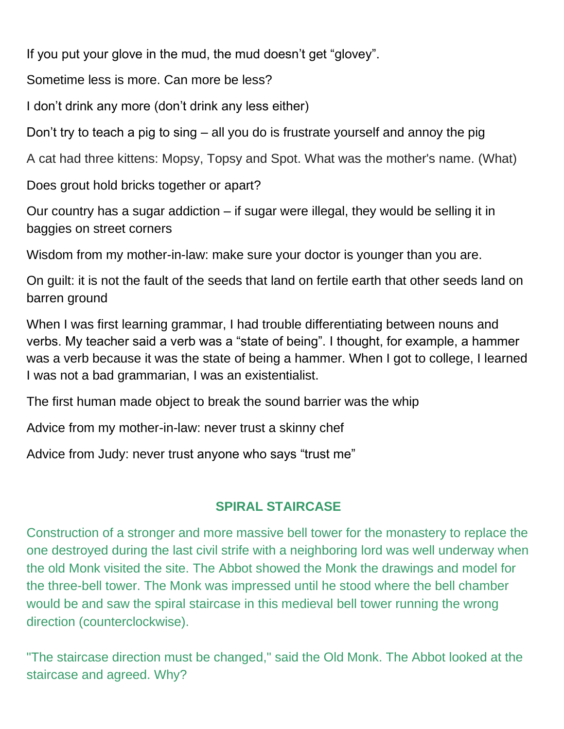If you put your glove in the mud, the mud doesn't get "glovey".

Sometime less is more. Can more be less?

I don't drink any more (don't drink any less either)

Don't try to teach a pig to sing – all you do is frustrate yourself and annoy the pig

A cat had three kittens: Mopsy, Topsy and Spot. What was the mother's name. (What)

Does grout hold bricks together or apart?

Our country has a sugar addiction – if sugar were illegal, they would be selling it in baggies on street corners

Wisdom from my mother-in-law: make sure your doctor is younger than you are.

On guilt: it is not the fault of the seeds that land on fertile earth that other seeds land on barren ground

When I was first learning grammar, I had trouble differentiating between nouns and verbs. My teacher said a verb was a "state of being". I thought, for example, a hammer was a verb because it was the state of being a hammer. When I got to college, I learned I was not a bad grammarian, I was an existentialist.

The first human made object to break the sound barrier was the whip

Advice from my mother-in-law: never trust a skinny chef

Advice from Judy: never trust anyone who says "trust me"

# **SPIRAL STAIRCASE**

Construction of a stronger and more massive bell tower for the monastery to replace the one destroyed during the last civil strife with a neighboring lord was well underway when the old Monk visited the site. The Abbot showed the Monk the drawings and model for the three-bell tower. The Monk was impressed until he stood where the bell chamber would be and saw the spiral staircase in this medieval bell tower running the wrong direction (counterclockwise).

"The staircase direction must be changed," said the Old Monk. The Abbot looked at the staircase and agreed. Why?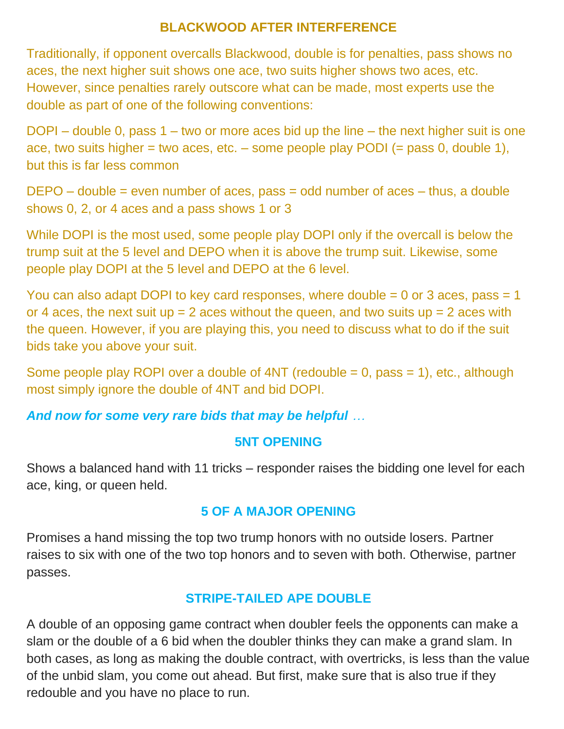### **BLACKWOOD AFTER INTERFERENCE**

Traditionally, if opponent overcalls Blackwood, double is for penalties, pass shows no aces, the next higher suit shows one ace, two suits higher shows two aces, etc. However, since penalties rarely outscore what can be made, most experts use the double as part of one of the following conventions:

DOPI – double 0, pass 1 – two or more aces bid up the line – the next higher suit is one ace, two suits higher = two aces, etc. – some people play PODI (= pass 0, double 1), but this is far less common

DEPO – double = even number of aces, pass = odd number of aces – thus, a double shows 0, 2, or 4 aces and a pass shows 1 or 3

While DOPI is the most used, some people play DOPI only if the overcall is below the trump suit at the 5 level and DEPO when it is above the trump suit. Likewise, some people play DOPI at the 5 level and DEPO at the 6 level.

You can also adapt DOPI to key card responses, where double  $= 0$  or 3 aces, pass  $= 1$ or 4 aces, the next suit  $up = 2$  aces without the queen, and two suits  $up = 2$  aces with the queen. However, if you are playing this, you need to discuss what to do if the suit bids take you above your suit.

Some people play ROPI over a double of  $4NT$  (redouble = 0, pass = 1), etc., although most simply ignore the double of 4NT and bid DOPI.

# *And now for some very rare bids that may be helpful …*

#### **5NT OPENING**

Shows a balanced hand with 11 tricks – responder raises the bidding one level for each ace, king, or queen held.

# **5 OF A MAJOR OPENING**

Promises a hand missing the top two trump honors with no outside losers. Partner raises to six with one of the two top honors and to seven with both. Otherwise, partner passes.

# **STRIPE-TAILED APE DOUBLE**

A double of an opposing game contract when doubler feels the opponents can make a slam or the double of a 6 bid when the doubler thinks they can make a grand slam. In both cases, as long as making the double contract, with overtricks, is less than the value of the unbid slam, you come out ahead. But first, make sure that is also true if they redouble and you have no place to run.